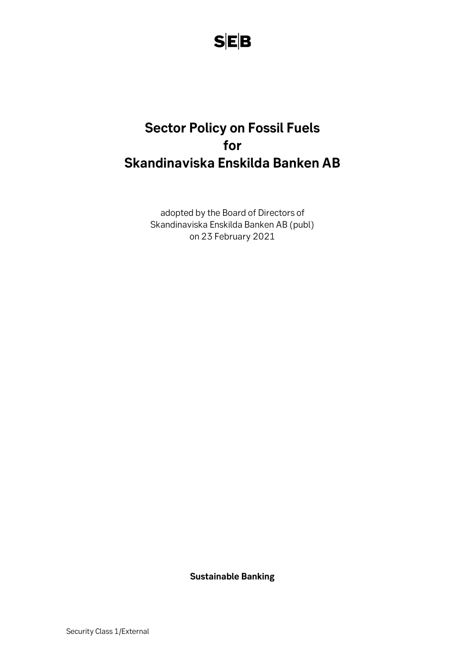# **Sector Policy on Fossil Fuels for Skandinaviska Enskilda Banken AB**

adopted by the Board of Directors of Skandinaviska Enskilda Banken AB (publ) on 23 February 2021

**Sustainable Banking**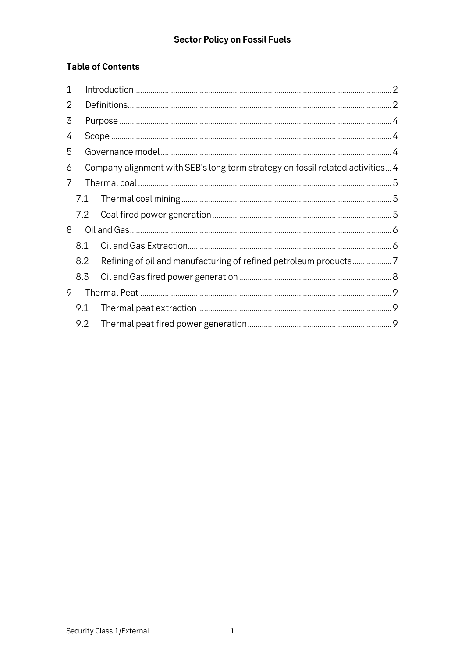# **Table of Contents**

| $\mathbf 1$    |     |                                                                                |  |  |
|----------------|-----|--------------------------------------------------------------------------------|--|--|
| 2              |     |                                                                                |  |  |
| 3              |     |                                                                                |  |  |
| 4              |     |                                                                                |  |  |
| 5              |     |                                                                                |  |  |
| 6              |     | Company alignment with SEB's long term strategy on fossil related activities 4 |  |  |
| $\overline{7}$ |     |                                                                                |  |  |
|                | 7.1 |                                                                                |  |  |
|                |     |                                                                                |  |  |
| 8              |     |                                                                                |  |  |
|                | 8.1 |                                                                                |  |  |
|                | 8.2 |                                                                                |  |  |
|                | 8.3 |                                                                                |  |  |
| 9              |     |                                                                                |  |  |
|                | 9.1 |                                                                                |  |  |
|                | 9.2 |                                                                                |  |  |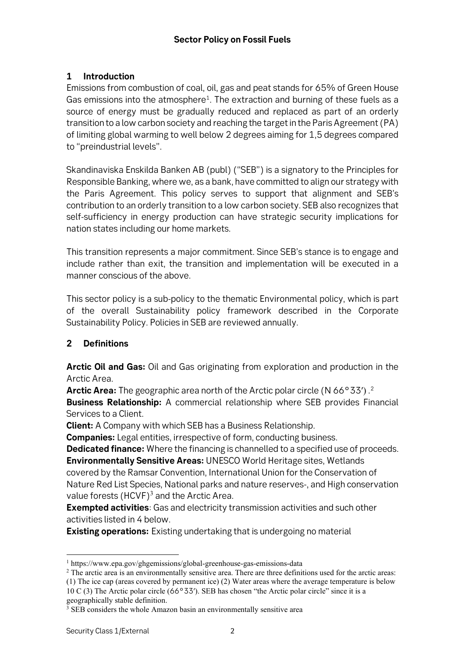# <span id="page-2-0"></span>**1 Introduction**

Emissions from combustion of coal, oil, gas and peat stands for 65% of Green House Gas emissions into the atmosphere<sup>1</sup>. The extraction and burning of these fuels as a source of energy must be gradually reduced and replaced as part of an orderly transition to a low carbon society and reaching the target in the Paris Agreement (PA) of limiting global warming to well below 2 degrees aiming for 1,5 degrees compared to "preindustrial levels".

Skandinaviska Enskilda Banken AB (publ) ("SEB") is a signatory to the Principles for Responsible Banking, where we, as a bank, have committed to align our strategy with the Paris Agreement. This policy serves to support that alignment and SEB's contribution to an orderly transition to a low carbon society. SEB also recognizes that self-sufficiency in energy production can have strategic security implications for nation states including our home markets.

This transition represents a major commitment. Since SEB's stance is to engage and include rather than exit, the transition and implementation will be executed in a manner conscious of the above.

This sector policy is a sub-policy to the thematic Environmental policy, which is part of the overall Sustainability policy framework described in the Corporate Sustainability Policy. Policies in SEB are reviewed annually.

# <span id="page-2-1"></span>**2 Definitions**

**Arctic Oil and Gas:** Oil and Gas originating from exploration and production in the Arctic Area.

**Arctic Area:** The geographic area north of the Arctic polar circle (N 66°33′) . [2](#page-2-3)

**Business Relationship:** A commercial relationship where SEB provides Financial Services to a Client.

**Client:** A Company with which SEB has a Business Relationship.

**Companies:** Legal entities, irrespective of form, conducting business.

**Dedicated finance:** Where the financing is channelled to a specified use of proceeds.

**Environmentally Sensitive Areas:** UNESCO World Heritage sites, Wetlands covered by the Ramsar Convention, International Union for the Conservation of Nature Red List Species, National parks and nature reserves-, and High conservation value forests  $(HCVF)^3$  $(HCVF)^3$  and the Arctic Area.

**Exempted activities**: Gas and electricity transmission activities and such other activities listed in 4 below.

**Existing operations:** Existing undertaking that is undergoing no material

<span id="page-2-3"></span>(1) The ice cap (areas covered by permanent ice) (2) Water areas where the average temperature is below 10 C (3) The Arctic polar circle (66°33′). SEB has chosen "the Arctic polar circle" since it is a

<span id="page-2-2"></span><sup>1</sup> https://www.epa.gov/ghgemissions/global-greenhouse-gas-emissions-data

<sup>&</sup>lt;sup>2</sup> The arctic area is an environmentally sensitive area. There are three definitions used for the arctic areas:

geographically stable definition.

<span id="page-2-4"></span><sup>&</sup>lt;sup>3</sup> SEB considers the whole Amazon basin an environmentally sensitive area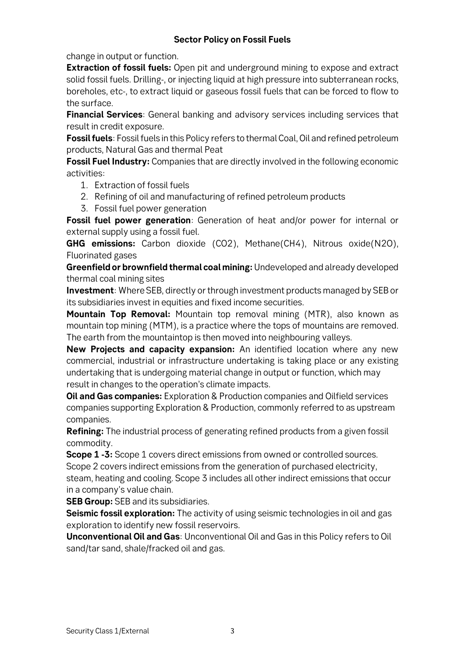change in output or function.

**Extraction of fossil fuels:** Open pit and underground mining to expose and extract solid fossil fuels. Drilling-, or injecting liquid at high pressure into subterranean rocks, boreholes, etc-, to extract liquid or gaseous fossil fuels that can be forced to flow to the surface.

**Financial Services**: General banking and advisory services including services that result in credit exposure.

**Fossil fuels**: Fossil fuels in this Policy refers to thermal Coal, Oil and refined petroleum products, Natural Gas and thermal Peat

**Fossil Fuel Industry:** Companies that are directly involved in the following economic activities:

- 1. Extraction of fossil fuels
- 2. Refining of oil and manufacturing of refined petroleum products
- 3. Fossil fuel power generation

**Fossil fuel power generation**: Generation of heat and/or power for internal or external supply using a fossil fuel.

**GHG emissions:** Carbon dioxide (CO2), Methane(CH4), Nitrous oxide(N2O), Fluorinated gases

**Greenfield or brownfield thermal coal mining:**Undeveloped and already developed thermal coal mining sites

**Investment**: Where SEB, directly or through investment products managed by SEB or its subsidiaries invest in equities and fixed income securities.

**Mountain Top Removal:** Mountain top removal mining (MTR), also known as mountain top mining (MTM), is a practice where the tops of mountains are removed. The earth from the mountaintop is then moved into neighbouring valleys.

**New Projects and capacity expansion:** An identified location where any new commercial, industrial or infrastructure undertaking is taking place or any existing undertaking that is undergoing material change in output or function, which may result in changes to the operation's climate impacts.

**Oil and Gas companies:** Exploration & Production companies and Oilfield services companies supporting Exploration & Production, commonly referred to as upstream companies.

**Refining:** The industrial process of generating refined products from a given fossil commodity.

**Scope 1 -3:** Scope 1 covers direct emissions from owned or controlled sources. Scope 2 covers indirect emissions from the generation of purchased electricity, steam, heating and cooling. Scope 3 includes all other indirect emissions that occur in a company's value chain.

**SEB Group:** SEB and its subsidiaries.

**Seismic fossil exploration:** The activity of using seismic technologies in oil and gas exploration to identify new fossil reservoirs.

**Unconventional Oil and Gas**: Unconventional Oil and Gas in this Policy refers to Oil sand/tar sand, shale/fracked oil and gas.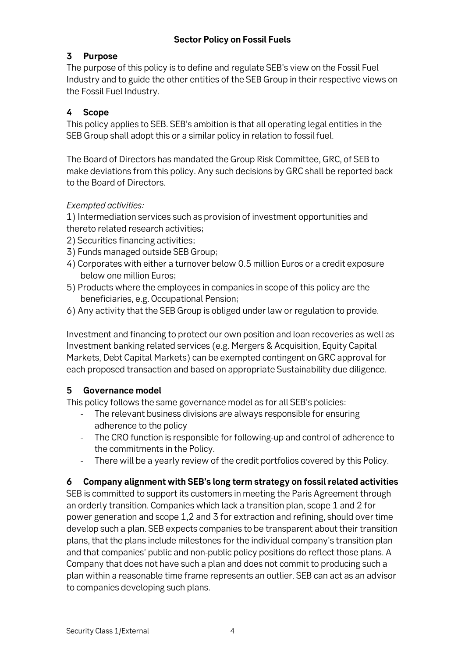# <span id="page-4-0"></span>**3 Purpose**

The purpose of this policy is to define and regulate SEB's view on the Fossil Fuel Industry and to guide the other entities of the SEB Group in their respective views on the Fossil Fuel Industry.

#### <span id="page-4-1"></span>**4 Scope**

This policy applies to SEB. SEB's ambition is that all operating legal entities in the SEB Group shall adopt this or a similar policy in relation to fossil fuel.

The Board of Directors has mandated the Group Risk Committee, GRC, of SEB to make deviations from this policy. Any such decisions by GRC shall be reported back to the Board of Directors.

#### *Exempted activities:*

1) Intermediation services such as provision of investment opportunities and thereto related research activities;

- 2) Securities financing activities;
- 3) Funds managed outside SEB Group;
- 4) Corporates with either a turnover below 0.5 million Euros or a credit exposure below one million Euros;
- 5) Products where the employees in companies in scope of this policy are the beneficiaries, e.g. Occupational Pension;
- 6) Any activity that the SEB Group is obliged under law or regulation to provide.

Investment and financing to protect our own position and loan recoveries as well as Investment banking related services (e.g. Mergers & Acquisition, Equity Capital Markets, Debt Capital Markets) can be exempted contingent on GRC approval for each proposed transaction and based on appropriate Sustainability due diligence.

#### <span id="page-4-2"></span>**5 Governance model**

This policy follows the same governance model as for all SEB's policies:

- The relevant business divisions are always responsible for ensuring adherence to the policy
- The CRO function is responsible for following-up and control of adherence to the commitments in the Policy.
- There will be a yearly review of the credit portfolios covered by this Policy.

#### <span id="page-4-3"></span>**6 Company alignment with SEB's long term strategy on fossil related activities**

SEB is committed to support its customers in meeting the Paris Agreement through an orderly transition. Companies which lack a transition plan, scope 1 and 2 for power generation and scope 1,2 and 3 for extraction and refining, should over time develop such a plan. SEB expects companies to be transparent about their transition plans, that the plans include milestones for the individual company's transition plan and that companies' public and non-public policy positions do reflect those plans. A Company that does not have such a plan and does not commit to producing such a plan within a reasonable time frame represents an outlier. SEB can act as an advisor to companies developing such plans.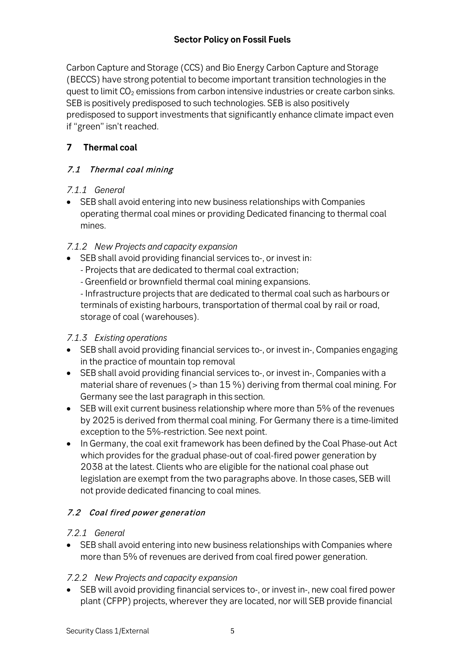Carbon Capture and Storage (CCS) and Bio Energy Carbon Capture and Storage (BECCS) have strong potential to become important transition technologies in the quest to limit  $CO<sub>2</sub>$  emissions from carbon intensive industries or create carbon sinks. SEB is positively predisposed to such technologies. SEB is also positively predisposed to support investments that significantly enhance climate impact even if "green" isn't reached.

# <span id="page-5-0"></span>**7 Thermal coal**

# <span id="page-5-1"></span>7.1 Thermal coal mining

# *7.1.1 General*

• SEB shall avoid entering into new business relationships with Companies operating thermal coal mines or providing Dedicated financing to thermal coal mines.

# *7.1.2 New Projects and capacity expansion*

- SEB shall avoid providing financial services to-, or invest in:
	- Projects that are dedicated to thermal coal extraction;
	- Greenfield or brownfield thermal coal mining expansions.

- Infrastructure projects that are dedicated to thermal coal such as harbours or terminals of existing harbours, transportation of thermal coal by rail or road, storage of coal (warehouses).

# *7.1.3 Existing operations*

- SEB shall avoid providing financial services to-, or invest in-, Companies engaging in the practice of mountain top removal
- SEB shall avoid providing financial services to-, or invest in-, Companies with a material share of revenues (> than 15 %) deriving from thermal coal mining. For Germany see the last paragraph in this section.
- SEB will exit current business relationship where more than 5% of the revenues by 2025 is derived from thermal coal mining. For Germany there is a time-limited exception to the 5%-restriction. See next point.
- In Germany, the coal exit framework has been defined by the Coal Phase-out Act which provides for the gradual phase-out of coal-fired power generation by 2038 at the latest. Clients who are eligible for the national coal phase out legislation are exempt from the two paragraphs above. In those cases, SEB will not provide dedicated financing to coal mines.

# <span id="page-5-2"></span>7.2 Coal fired power generation

# *7.2.1 General*

• SEB shall avoid entering into new business relationships with Companies where more than 5% of revenues are derived from coal fired power generation.

# *7.2.2 New Projects and capacity expansion*

• SEB will avoid providing financial services to-, or invest in-, new coal fired power plant (CFPP) projects, wherever they are located, nor will SEB provide financial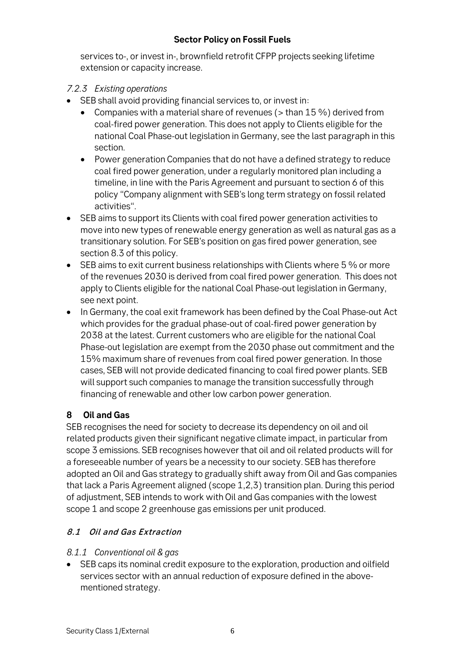services to-, or invest in-, brownfield retrofit CFPP projects seeking lifetime extension or capacity increase.

#### *7.2.3 Existing operations*

- SEB shall avoid providing financial services to, or invest in:
	- Companies with a material share of revenues ( $>$  than 15 %) derived from coal-fired power generation. This does not apply to Clients eligible for the national Coal Phase-out legislation in Germany, see the last paragraph in this section.
	- Power generation Companies that do not have a defined strategy to reduce coal fired power generation, under a regularly monitored plan including a timeline, in line with the Paris Agreement and pursuant to section 6 of this policy "Company alignment with SEB's long term strategy on fossil related activities".
- SEB aims to support its Clients with coal fired power generation activities to move into new types of renewable energy generation as well as natural gas as a transitionary solution. For SEB's position on gas fired power generation, see section 8.3 of this policy.
- SEB aims to exit current business relationships with Clients where 5 % or more of the revenues 2030 is derived from coal fired power generation. This does not apply to Clients eligible for the national Coal Phase-out legislation in Germany, see next point.
- In Germany, the coal exit framework has been defined by the Coal Phase-out Act which provides for the gradual phase-out of coal-fired power generation by 2038 at the latest. Current customers who are eligible for the national Coal Phase-out legislation are exempt from the 2030 phase out commitment and the 15% maximum share of revenues from coal fired power generation. In those cases, SEB will not provide dedicated financing to coal fired power plants. SEB will support such companies to manage the transition successfully through financing of renewable and other low carbon power generation.

# <span id="page-6-0"></span>**8 Oil and Gas**

SEB recognises the need for society to decrease its dependency on oil and oil related products given their significant negative climate impact, in particular from scope 3 emissions. SEB recognises however that oil and oil related products will for a foreseeable number of years be a necessity to our society. SEB has therefore adopted an Oil and Gas strategy to gradually shift away from Oil and Gas companies that lack a Paris Agreement aligned (scope 1,2,3) transition plan. During this period of adjustment, SEB intends to work with Oil and Gas companies with the lowest scope 1 and scope 2 greenhouse gas emissions per unit produced.

# <span id="page-6-1"></span>8.1 Oil and Gas Extraction

#### *8.1.1 Conventional oil & gas*

• SEB caps its nominal credit exposure to the exploration, production and oilfield services sector with an annual reduction of exposure defined in the abovementioned strategy.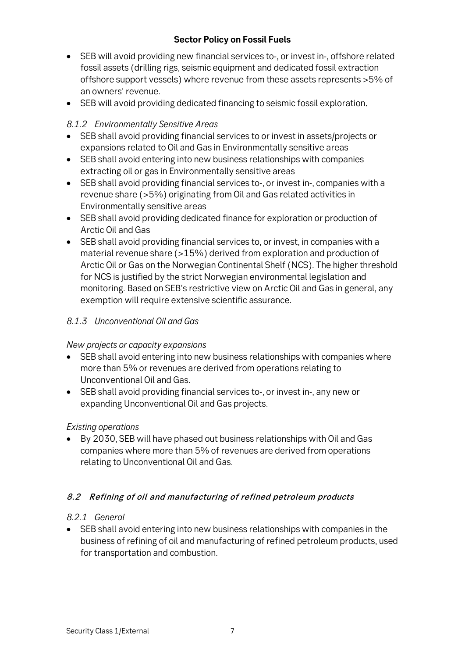- SEB will avoid providing new financial services to-, or invest in-, offshore related fossil assets (drilling rigs, seismic equipment and dedicated fossil extraction offshore support vessels) where revenue from these assets represents >5% of an owners' revenue.
- SEB will avoid providing dedicated financing to seismic fossil exploration.

# *8.1.2 Environmentally Sensitive Areas*

- SEB shall avoid providing financial services to or invest in assets/projects or expansions related to Oil and Gas in Environmentally sensitive areas
- SEB shall avoid entering into new business relationships with companies extracting oil or gas in Environmentally sensitive areas
- SEB shall avoid providing financial services to-, or invest in-, companies with a revenue share (>5%) originating from Oil and Gas related activities in Environmentally sensitive areas
- SEB shall avoid providing dedicated finance for exploration or production of Arctic Oil and Gas
- SEB shall avoid providing financial services to, or invest, in companies with a material revenue share (>15%) derived from exploration and production of Arctic Oil or Gas on the Norwegian Continental Shelf (NCS). The higher threshold for NCS is justified by the strict Norwegian environmental legislation and monitoring. Based on SEB's restrictive view on Arctic Oil and Gas in general, any exemption will require extensive scientific assurance.

# *8.1.3 Unconventional Oil and Gas*

#### *New projects or capacity expansions*

- SEB shall avoid entering into new business relationships with companies where more than 5% or revenues are derived from operations relating to Unconventional Oil and Gas.
- SEB shall avoid providing financial services to-, or invest in-, any new or expanding Unconventional Oil and Gas projects.

#### *Existing operations*

• By 2030, SEB will have phased out business relationships with Oil and Gas companies where more than 5% of revenues are derived from operations relating to Unconventional Oil and Gas.

#### <span id="page-7-0"></span>8.2 Refining of oil and manufacturing of refined petroleum products

#### *8.2.1 General*

• SEB shall avoid entering into new business relationships with companies in the business of refining of oil and manufacturing of refined petroleum products, used for transportation and combustion.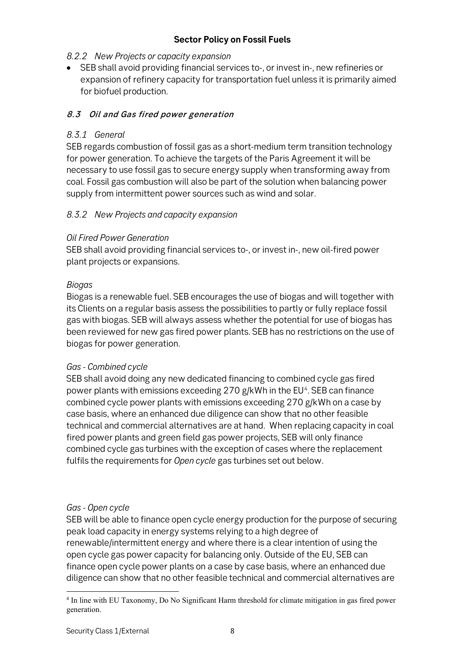#### *8.2.2 New Projects or capacity expansion*

• SEB shall avoid providing financial services to-, or invest in-, new refineries or expansion of refinery capacity for transportation fuel unless it is primarily aimed for biofuel production.

# <span id="page-8-0"></span>8.3 Oil and Gas fired power generation

#### *8.3.1 General*

SEB regards combustion of fossil gas as a short-medium term transition technology for power generation. To achieve the targets of the Paris Agreement it will be necessary to use fossil gas to secure energy supply when transforming away from coal. Fossil gas combustion will also be part of the solution when balancing power supply from intermittent power sources such as wind and solar.

# *8.3.2 New Projects and capacity expansion*

#### *Oil Fired Power Generation*

SEB shall avoid providing financial services to-, or invest in-, new oil-fired power plant projects or expansions.

#### *Biogas*

Biogas is a renewable fuel. SEB encourages the use of biogas and will together with its Clients on a regular basis assess the possibilities to partly or fully replace fossil gas with biogas. SEB will always assess whether the potential for use of biogas has been reviewed for new gas fired power plants. SEB has no restrictions on the use of biogas for power generation.

#### *Gas - Combined cycle*

SEB shall avoid doing any new dedicated financing to combined cycle gas fired power plants with emissions exceeding  $270$  g/kWh in the EU<sup>4</sup>. SEB can finance combined cycle power plants with emissions exceeding 270 g/kWh on a case by case basis, where an enhanced due diligence can show that no other feasible technical and commercial alternatives are at hand. When replacing capacity in coal fired power plants and green field gas power projects, SEB will only finance combined cycle gas turbines with the exception of cases where the replacement fulfils the requirements for *Open cycle* gas turbines set out below.

#### *Gas - Open cycle*

SEB will be able to finance open cycle energy production for the purpose of securing peak load capacity in energy systems relying to a high degree of renewable/intermittent energy and where there is a clear intention of using the open cycle gas power capacity for balancing only. Outside of the EU, SEB can finance open cycle power plants on a case by case basis, where an enhanced due diligence can show that no other feasible technical and commercial alternatives are

<span id="page-8-1"></span><sup>4</sup> In line with EU Taxonomy, Do No Significant Harm threshold for climate mitigation in gas fired power generation.